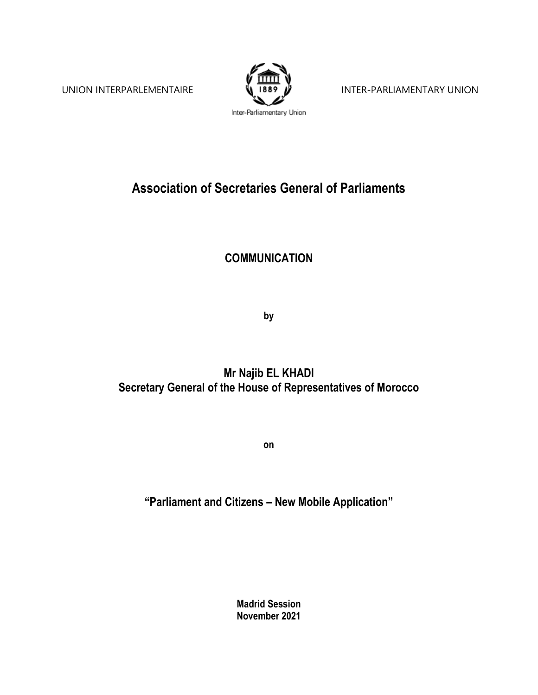

UNION INTERPARLEMENTAIRE **ISS<sup>9</sup> W** INTER-PARLIAMENTARY UNION

## **Association of Secretaries General of Parliaments**

## **COMMUNICATION**

**by**

## **Mr Najib EL KHADI Secretary General of the House of Representatives of Morocco**

**on**

## **"Parliament and Citizens – New Mobile Application"**

**Madrid Session November 2021**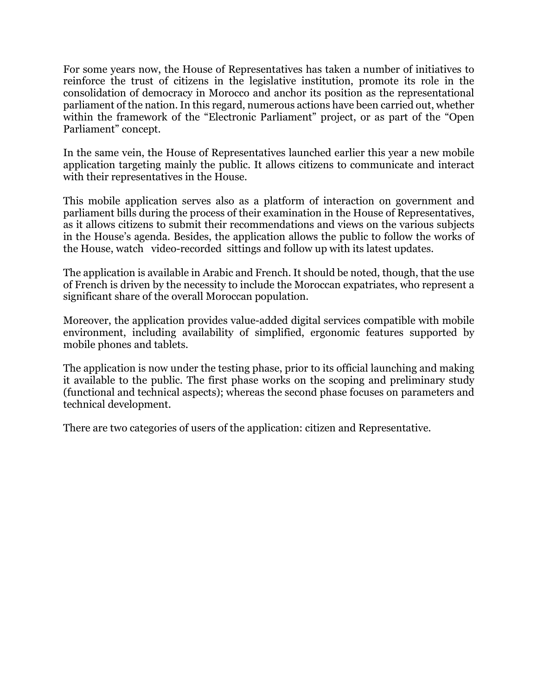For some years now, the House of Representatives has taken a number of initiatives to reinforce the trust of citizens in the legislative institution, promote its role in the consolidation of democracy in Morocco and anchor its position as the representational parliament of the nation. In this regard, numerous actions have been carried out, whether within the framework of the "Electronic Parliament" project, or as part of the "Open Parliament" concept.

In the same vein, the House of Representatives launched earlier this year a new mobile application targeting mainly the public. It allows citizens to communicate and interact with their representatives in the House.

This mobile application serves also as a platform of interaction on government and parliament bills during the process of their examination in the House of Representatives, as it allows citizens to submit their recommendations and views on the various subjects in the House's agenda. Besides, the application allows the public to follow the works of the House, watch video-recorded sittings and follow up with its latest updates.

The application is available in Arabic and French. It should be noted, though, that the use of French is driven by the necessity to include the Moroccan expatriates, who represent a significant share of the overall Moroccan population.

Moreover, the application provides value-added digital services compatible with mobile environment, including availability of simplified, ergonomic features supported by mobile phones and tablets.

The application is now under the testing phase, prior to its official launching and making it available to the public. The first phase works on the scoping and preliminary study (functional and technical aspects); whereas the second phase focuses on parameters and technical development.

There are two categories of users of the application: citizen and Representative.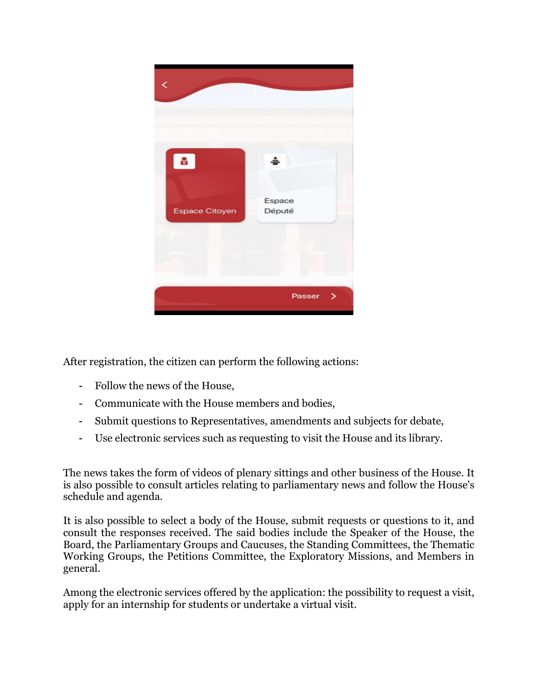

After registration, the citizen can perform the following actions:

- Follow the news of the House,
- Communicate with the House members and bodies,
- Submit questions to Representatives, amendments and subjects for debate,
- Use electronic services such as requesting to visit the House and its library.

The news takes the form of videos of plenary sittings and other business of the House. It is also possible to consult articles relating to parliamentary news and follow the House's schedule and agenda.

It is also possible to select a body of the House, submit requests or questions to it, and consult the responses received. The said bodies include the Speaker of the House, the Board, the Parliamentary Groups and Caucuses, the Standing Committees, the Thematic Working Groups, the Petitions Committee, the Exploratory Missions, and Members in general.

Among the electronic services offered by the application: the possibility to request a visit, apply for an internship for students or undertake a virtual visit.